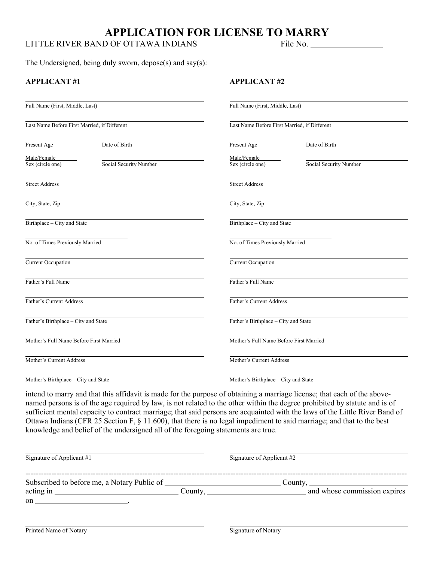# **APPLICATION FOR LICENSE TO MARRY**

## LITTLE RIVER BAND OF OTTAWA INDIANS File No.

The Undersigned, being duly sworn, depose(s) and say(s):

### **APPLICANT #1 APPLICANT #2**

| Full Name (First, Middle, Last)              |                        | Full Name (First, Middle, Last)              |                                         |  |
|----------------------------------------------|------------------------|----------------------------------------------|-----------------------------------------|--|
| Last Name Before First Married, if Different |                        | Last Name Before First Married, if Different |                                         |  |
| Present Age                                  | Date of Birth          | Present Age                                  | Date of Birth                           |  |
| Male/Female                                  |                        | Male/Female                                  |                                         |  |
| Sex (circle one)                             | Social Security Number | Sex (circle one)                             | Social Security Number                  |  |
| <b>Street Address</b>                        |                        | <b>Street Address</b>                        |                                         |  |
| City, State, Zip                             |                        | City, State, Zip                             |                                         |  |
| Birthplace - City and State                  |                        | Birthplace - City and State                  |                                         |  |
| No. of Times Previously Married              |                        |                                              | No. of Times Previously Married         |  |
| Current Occupation                           |                        | Current Occupation                           |                                         |  |
| Father's Full Name                           |                        | Father's Full Name                           |                                         |  |
| Father's Current Address                     |                        |                                              | Father's Current Address                |  |
| Father's Birthplace - City and State         |                        |                                              | Father's Birthplace - City and State    |  |
| Mother's Full Name Before First Married      |                        |                                              | Mother's Full Name Before First Married |  |
| Mother's Current Address                     |                        |                                              | Mother's Current Address                |  |
| Mother's Birthplace - City and State         |                        |                                              | Mother's Birthplace - City and State    |  |

intend to marry and that this affidavit is made for the purpose of obtaining a marriage license; that each of the abovenamed persons is of the age required by law, is not related to the other within the degree prohibited by statute and is of sufficient mental capacity to contract marriage; that said persons are acquainted with the laws of the Little River Band of Ottawa Indians (CFR 25 Section F, § 11.600), that there is no legal impediment to said marriage; and that to the best knowledge and belief of the undersigned all of the foregoing statements are true.

| Signature of Applicant #1                                |         | Signature of Applicant #2               |
|----------------------------------------------------------|---------|-----------------------------------------|
| Subscribed to before me, a Notary Public of<br>acting in | County. | County,<br>and whose commission expires |
| on                                                       |         |                                         |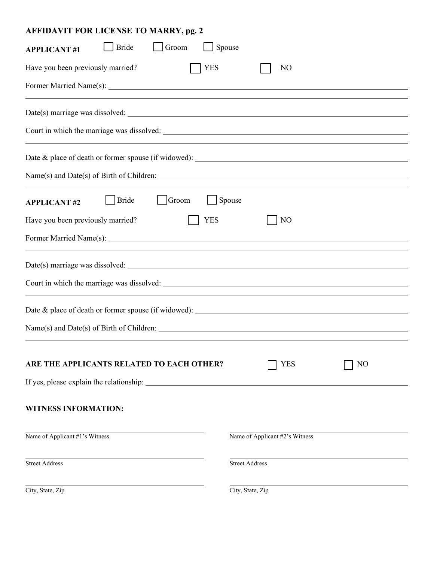| <b>AFFIDAVIT FOR LICENSE TO MARRY, pg. 2</b>          |                                |
|-------------------------------------------------------|--------------------------------|
| <b>Bride</b><br>Groom<br>Spouse<br><b>APPLICANT#1</b> |                                |
| Have you been previously married?<br><b>YES</b>       | N <sub>O</sub>                 |
|                                                       |                                |
|                                                       |                                |
|                                                       |                                |
|                                                       |                                |
|                                                       |                                |
| <b>Bride</b><br>Groom<br><b>APPLICANT#2</b>           | Spouse                         |
| <b>YES</b><br>Have you been previously married?       | N <sub>O</sub>                 |
|                                                       |                                |
|                                                       |                                |
|                                                       |                                |
| Date & place of death or former spouse (if widowed):  |                                |
|                                                       |                                |
|                                                       |                                |
| ARE THE APPLICANTS RELATED TO EACH OTHER?             | N <sub>O</sub><br>YES          |
|                                                       |                                |
| <b>WITNESS INFORMATION:</b>                           |                                |
| Name of Applicant #1's Witness                        | Name of Applicant #2's Witness |
| <b>Street Address</b>                                 | <b>Street Address</b>          |
| City, State, Zip                                      | City, State, Zip               |